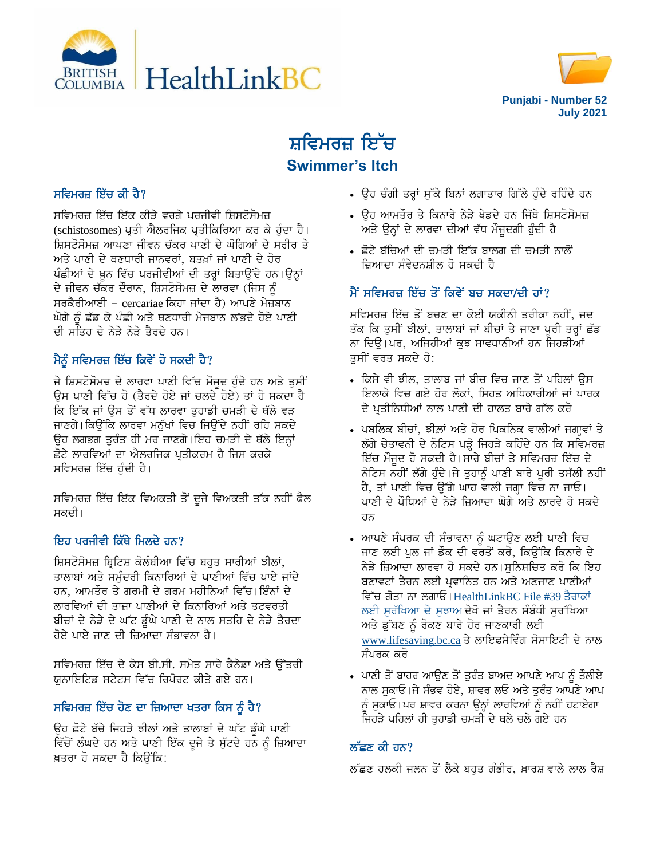



# ਸ਼ਵਿਮਰਜ਼ ਇੱਚ **Swimmer's Itch**

## ਸਵਿਮਰਜ਼ ਇੱਚ ਕੀ ਹੈ $?$

ਸਵਿਮਰਜ਼ ਇੱਚ ਇੱਕ ਕੀੜੇ ਵਰਗੇ ਪਰਜੀਵੀ ਸ਼ਿਸਟੋਸੋਮਜ਼ (schistosomes) ਪ੍ਰਤੀ ਐਲਰਜਿਕ ਪ੍ਰਤੀਕਿਰਿਆ ਕਰ ਕੇ ਹੁੰਦਾ ਹੈ। ਸ਼ਿਸਟੋਸੋਮਜ਼ ਆਪਣਾ ਜੀਵਨ ਚੱਕਰ ਪਾਣੀ ਦੇ ਘੋਗਿਆਂ ਦੇ ਸਰੀਰ ਤੇ ਅਤੇ ਪਾਣੀ ਦੇ ਥਣਧਾਰੀ ਜਾਨਵਰਾਂ, ਬਤਖ਼ਾਂ ਜਾਂ ਪਾਣੀ ਦੇ ਹੋਰ ਪੰਛੀਆਂ ਦੇ ਖ਼ੁਨ ਵਿੱਚ ਪਰਜੀਵੀਆਂ ਦੀ ਤਰ੍ਹਾਂ ਬਿਤਾਉਂਦੇ ਹਨ।ਉਨ੍ਹਾਂ ਦੇ ਜੀਵਨ ਚੱਕਰ ਦੌਰਾਨ, ਸ਼ਿਸਟੋਸੋਮਜ਼ ਦੇ ਲਾਰਵਾ (ਜਿਸ ਨੰ ਸਰਕੈਰੀਆਈ – cercariae ਕਿਹਾ ਜਾਂਦਾ ਹੈ) ਆਪਣੇ ਮੇਜ਼ਬਾਨ ਘੋਗੇ ਨੂੰ ਛੱਡ ਕੇ ਪੰਛੀ ਅਤੇ ਥਣਧਾਰੀ ਮੇਜਬਾਨ ਲੱਭਦੇ ਹੋਏ ਪਾਣੀ ਦੀ ਸਤਿਹ ਦੇ ਨੇੜੇ ਨੇੜੇ ਤੈਰਦੇ ਹਨ।

# ਮੈਨੂੰ ਸਵਿਮਰਜ਼ ਇੱਚ ਕਿਵੇਂ ਹੋ ਸਕਦੀ ਹੈ?

ਜੇ ਸ਼ਿਸਟੋਸੋਮਜ਼ ਦੇ ਲਾਰਵਾ ਪਾਣੀ ਵਿੱਚ ਮੌਜੂਦ ਹੁੰਦੇ ਹਨ ਅਤੇ ਤੁਸੀਂ ਉਸ ਪਾਣੀ ਵਿੱਚ ਹੋ (ਤੈਰਦੇ ਹੋਏ ਜਾਂ ਚਲਦੇ ਹੋਏ) ਤਾਂ ਹੋ ਸਕਦਾ ਹੈ ਕਿ ਇੱਕ ਜਾਂ ਉਸ ਤੋਂ ਵੱਧ ਲਾਰਵਾ ਤੁਹਾਡੀ ਚਮੜੀ ਦੇ ਥੱਲੇ ਵੜ ਜਾਣਗੇ।ਕਿਉਂਕਿ ਲਾਰਵਾ ਮਨੁੱਖਾਂ ਵਿਚ ਜਿਉਂਦੇ ਨਹੀਂ ਰਹਿ ਸਕਦੇ ਉਹ ਲਗਭਗ ਤੁਰੰਤ ਹੀ ਮਰ ਜਾਣਗੇ।ਇਹ ਚਮੜੀ ਦੇ ਥੱਲੇ ਇਨ੍ਹਾਂ ਛੋਟੇ ਲਾਰਵਿਆਂ ਦਾ ਐਲਰਜਿਕ ਪਤੀਕਰਮ ਹੈ ਜਿਸ ਕਰਕੇ ਸਵਿਮਰਜ਼ ਇੱਚ ਹੰਦੀ ਹੈ।

ਸਵਿਮਰਜ਼ ਇੱਚ ਇੱਕ ਵਿਅਕਤੀ ਤੋਂ ਦੂਜੇ ਵਿਅਕਤੀ ਤੱਕ ਨਹੀਂ ਫੈਲ ਸਕਦੀ।

# ਇਹ ਪਰਜੀਵੀ ਕਿੱਥੇ ਮਿਲਦੇ ਹਨ?

ਸ਼ਿਸਟੋਸੋਮਜ਼ ਬ੍ਰਿਟਿਸ਼ ਕੋਲੰਬੀਆ ਵਿੱਚ ਬਹਤ ਸਾਰੀਆਂ ਝੀਲਾਂ, ਤਾਲਾਬਾਂ ਅਤੇ ਸਮੰਦਰੀ ਕਿਨਾਰਿਆਂ ਦੇ ਪਾਣੀਆਂ ਵਿੱਚ ਪਾਏ ਜਾਂਦੇ ਹਨ, ਆਮਤੌਰ ਤੇ ਗਰਮੀ ਦੇ ਗਰਮ ਮਹੀਨਿਆਂ ਵਿੱਚ। ਇੰਨਾਂ ਦੇ ਲਾਰਵਿਆਂ ਦੀ ਤਾਜ਼ਾ ਪਾਣੀਆਂ ਦੇ ਕਿਨਾਰਿਆਂ ਅਤੇ ਤਟਵਰਤੀ ਬੀਚਾਂ ਦੇ ਨੇੜੇ ਦੇ ਘੱਟ ਡੂੰਘੇ ਪਾਣੀ ਦੇ ਨਾਲ ਸਤਹਿ ਦੇ ਨੇੜੇ ਤੈਰਦਾ <u>ਹੋਏ ਪਾਏ ਜਾਣ ਦੀ ਜ਼ਿਆਦਾ ਸੰਭਾਵਨਾ ਹੈ।</u>

ਸਵਿਮਰਜ਼ ਇੱਚ ਦੇ ਕੇਸ ਬੀ.ਸੀ. ਸਮੇਤ ਸਾਰੇ ਕੈਨੇਡਾ ਅਤੇ ਉੱਤਰੀ ਯੁਨਾਇਟਿਡ ਸਟੇਟਸ ਵਿੱਚ ਰਿਪੋਰਟ ਕੀਤੇ ਗਏ ਹਨ।

# ਸਵਿਮਰਜ਼ ਇੱਚ ਹੋਣ ਦਾ ਜ਼ਿਆਦਾ ਖਤਰਾ ਕਿਸ ਨੂੰ ਹੈ?

ਉਹ ਛੋਟੇ ਬੱਚੇ ਜਿਹੜੇ ਝੀਲਾਂ ਅਤੇ ਤਾਲਾਬਾਂ ਦੇ ਘੱਟ ਡੂੰਘੇ ਪਾਣੀ ਵਿੱਚੋਂ ਲੰਘਦੇ ਹਨ ਅਤੇ ਪਾਣੀ ਇੱਕ ਦੂਜੇ ਤੇ ਸੁੱਟਦੇ ਹਨ ਨੂੰ ਜ਼ਿਆਦਾ ਖ਼ਤਰਾ ਹੋ ਸਕਦਾ ਹੈ ਕਿਉਂਕਿ:

- ਉਹ ਚੰਗੀ ਤਰ੍ਹਾਂ ਸੁੱਕੇ ਬਿਨਾਂ ਲਗਾਤਾਰ ਗਿੱਲੇ ਹੁੰਦੇ ਰਹਿੰਦੇ ਹਨ
- ਉਹ ਆਮਤੌਰ ਤੇ ਕਿਨਾਰੇ ਨੇੜੇ ਖੇਡਦੇ ਹਨ ਜਿੱਥੇ ਸ਼ਿਸਟੋਸੋਮਜ਼ ਅਤੇ ਉਨ੍ਹਾਂ ਦੇ ਲਾਰਵਾ ਦੀਆਂ ਵੱਧ ਮੌਜੂਦਗੀ ਹੁੰਦੀ ਹੈ
- ਛੋਟੇ ਬੱਚਿਆਂ ਦੀ ਚਮੜੀ ਇੱਕ ਬਾਲਗ ਦੀ ਚਮੜੀ ਨਾਲੋਂ ਜ਼ਿਆਦਾ ਸੰਵੇਦਨਸ਼ੀਲ ਹੋ ਸਕਦੀ ਹੈ

# ਮੈਂ ਸਵਿਮਰਜ਼ ਇੱਚ ਤੋਂ ਕਿਵੇਂ ਬਚ ਸਕਦਾ/ਦੀ ਹਾਂ?

ਸਵਿਮਰਜ਼ ਇੱਚ ਤੋਂ ਬਚਣ ਦਾ ਕੋਈ ਯਕੀਨੀ ਤਰੀਕਾ ਨਹੀਂ, ਜਦ ਤੱਕ ਕਿ ਤਸੀਂ ਝੀਲਾਂ, ਤਾਲਾਬਾਂ ਜਾਂ ਬੀਚਾਂ ਤੇ ਜਾਣਾ ਪਰੀ ਤਰਾਂ ਛੱਡ ਨਾ ਦਿੳ।ਪਰ, ਅਜਿਹੀਆਂ ਕਝ ਸਾਵਧਾਨੀਆਂ ਹਨ ਜਿਹੜੀਆਂ ਤਸੀਂ ਵਰਤ ਸਕਦੇ ਹੋ:

- . ਕਿਸੇ ਵੀ ਝੀਲ, ਤਾਲਾਬ ਜਾਂ ਬੀਚ ਵਿਚ ਜਾਣ ਤੋਂ ਪਹਿਲਾਂ ੳਸ ਇਲਾਕੇ ਵਿਚ ਗਏ ਹੋਰ ਲੋਕਾਂ, ਸਿਹਤ ਅਧਿਕਾਰੀਆਂ ਜਾਂ ਪਾਰਕ ਦੇ ਪ੍ਰਤੀਨਿਧੀਆਂ ਨਾਲ ਪਾਣੀ ਦੀ ਹਾਲਤ ਬਾਰੇ ਗੱਲ ਕਰੋ
- ਪਬਲਿਕ ਬੀਚਾਂ, ਝੀਲ਼ਾਂ ਅਤੇ ਹੋਰ ਪਿਕਨਿਕ ਵਾਲੀਆਂ ਜਗ੍ਹਾਵਾਂ ਤੇ ਲੱਗੇ ਚੇਤਾਵਨੀ ਦੇ ਨੋਟਿਸ ਪੜ੍ਹੋ ਜਿਹੜੇ ਕਹਿੰਦੇ ਹਨ ਕਿ ਸਵਿਮਰਜ਼ ਇੱਚ ਮੌਜੂਦ ਹੋ ਸਕਦੀ ਹੈ।ਸਾਰੇ ਬੀਚਾਂ ਤੇ ਸਵਿਮਰਜ਼ ਇੱਚ ਦੇ ਨੋਟਿਸ ਨਹੀਂ ਲੱਗੇ ਹੁੰਦੇ।ਜੇ ਤੁਹਾਨੂੰ ਪਾਣੀ ਬਾਰੇ ਪੂਰੀ ਤਸੱਲੀ ਨਹੀਂ ਹੈ, ਤਾਂ ਪਾਣੀ ਵਿਚ ਉੱਗੇ ਘਾਹ ਵਾਲੀ ਜਗ੍ਹਾ ਵਿਚ ਨਾ ਜਾਓ। ਪਾਣੀ ਦੇ ਪੌਧਿਆਂ ਦੇ ਨੇਤੇ ਜਿਆਦਾ ਘੋਗੇ ਅਤੇ ਲਾਰਵੇ ਹੋ ਸਕਦੇ ਹਨ
- ਆਪਣੇ ਸੰਪਰਕ ਦੀ ਸੰਭਾਵਨਾ ਨੂੰ ਘਟਾਉਣ ਲਈ ਪਾਣੀ ਵਿਚ ਜਾਣ ਲਈ ਪਲ ਜਾਂ ਡੌਕ ਦੀ ਵਰਤੋਂ ਕਰੋ, ਕਿੳਂਕਿ ਕਿਨਾਰੇ ਦੇ ਨੇੜੇ ਜ਼ਿਆਦਾ ਲਾਰਵਾ ਹੋ ਸਕਦੇ ਹਨ।ਸੁਨਿਸ਼ਚਿਤ ਕਰੋ ਕਿ ਇਹ ਬਣਾਵਟਾਂ ਤੈਰਨ ਲਈ ਪ੍ਰਵਾਨਿਤ ਹਨ ਅਤੇ ਅਣਜਾਣ ਪਾਣੀਆਂ ਵਿੱਚ ਗੋਤਾ ਨਾ ਲਗਾਓ। [HealthLinkBC File #39](https://www.healthlinkbc.ca/hlbc/files/documents/healthfiles/hfile39-p.pdf) ਤੈਰਾਕਾਂ ਲਈ ਸੁਰੱਖਿਆ ਦੇ ਸੁਝਾਅ ਦੇਖੋ ਜਾਂ ਤੈਰਨ ਸੰਬੰਧੀ ਸੁਰੱਖਿਆ ਅਤੇ ਡੁੱਬਣ ਨੂੰ ਰੋਕਣ ਬਾਰੇ ਹੋਰ ਜਾਣਕਾਰੀ ਲਈ [www.lifesaving.bc.ca](http://www.lifesaving.bc.ca/) ਤੇ ਲਾਇਫਸੇਵਿੰਗ ਸੋਸਾਇਟੀ ਦੇ ਨਾਲ ਸੰਪਰਕ ਕਰੋ
- ਪਾਣੀ ਤੋਂ ਬਾਹਰ ਆਉਣ ਤੋਂ ਤੁਰੰਤ ਬਾਅਦ ਆਪਣੇ ਆਪ ਨੂੰ ਤੌਲੀਏ ਨਾਲ ਸੁਕਾਓ।ਜੇ ਸੰਭਵ ਹੋਏ, ਸ਼ਾਵਰ ਲਓ ਅਤੇ ਤੁਰੰਤ ਆਪਣੇ ਆਪ ਨੂੰ ਸੁਕਾਓ।ਪਰ ਸ਼ਾਵਰ ਕਰਨਾ ਉਨ੍ਹਾਂ ਲਾਰਵਿਆਂ ਨੂੰ ਨਹੀਂ ਹਟਾਏਗਾ ਜਿਹੜੇ ਪਹਿਲਾਂ ਹੀ ਤੁਹਾਡੀ ਚਮੜੀ ਦੇ ਥਲੇ ਚਲੇ ਗਏ ਹਨ

## ਲੱਛਣ ਕੀ ਹਨ?

ਲੱਛਣ ਹਲਕੀ ਜਲਨ ਤੋਂ ਲੈਕੇ ਬਹੁਤ ਗੰਭੀਰ, ਖ਼ਾਰਸ਼ ਵਾਲੇ ਲਾਲ ਰੈਸ਼